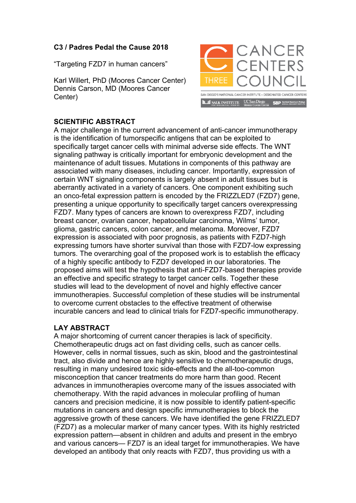## **C3 / Padres Pedal the Cause 2018**

"Targeting FZD7 in human cancers"

Karl Willert, PhD (Moores Cancer Center) Dennis Carson, MD (Moores Cancer Center)



## **SCIENTIFIC ABSTRACT**

A major challenge in the current advancement of anti-cancer immunotherapy is the identification of tumorspecific antigens that can be exploited to specifically target cancer cells with minimal adverse side effects. The WNT signaling pathway is critically important for embryonic development and the maintenance of adult tissues. Mutations in components of this pathway are associated with many diseases, including cancer. Importantly, expression of certain WNT signaling components is largely absent in adult tissues but is aberrantly activated in a variety of cancers. One component exhibiting such an onco-fetal expression pattern is encoded by the FRIZZLED7 (FZD7) gene, presenting a unique opportunity to specifically target cancers overexpressing FZD7. Many types of cancers are known to overexpress FZD7, including breast cancer, ovarian cancer, hepatocellular carcinoma, Wilms' tumor, glioma, gastric cancers, colon cancer, and melanoma. Moreover, FZD7 expression is associated with poor prognosis, as patients with FZD7-high expressing tumors have shorter survival than those with FZD7-low expressing tumors. The overarching goal of the proposed work is to establish the efficacy of a highly specific antibody to FZD7 developed in our laboratories. The proposed aims will test the hypothesis that anti-FZD7-based therapies provide an effective and specific strategy to target cancer cells. Together these studies will lead to the development of novel and highly effective cancer immunotherapies. Successful completion of these studies will be instrumental to overcome current obstacles to the effective treatment of otherwise incurable cancers and lead to clinical trials for FZD7-specific immunotherapy.

## **LAY ABSTRACT**

A major shortcoming of current cancer therapies is lack of specificity. Chemotherapeutic drugs act on fast dividing cells, such as cancer cells. However, cells in normal tissues, such as skin, blood and the gastrointestinal tract, also divide and hence are highly sensitive to chemotherapeutic drugs, resulting in many undesired toxic side-effects and the all-too-common misconception that cancer treatments do more harm than good. Recent advances in immunotherapies overcome many of the issues associated with chemotherapy. With the rapid advances in molecular profiling of human cancers and precision medicine, it is now possible to identify patient-specific mutations in cancers and design specific immunotherapies to block the aggressive growth of these cancers. We have identified the gene FRIZZLED7 (FZD7) as a molecular marker of many cancer types. With its highly restricted expression pattern—absent in children and adults and present in the embryo and various cancers— FZD7 is an ideal target for immunotherapies. We have developed an antibody that only reacts with FZD7, thus providing us with a